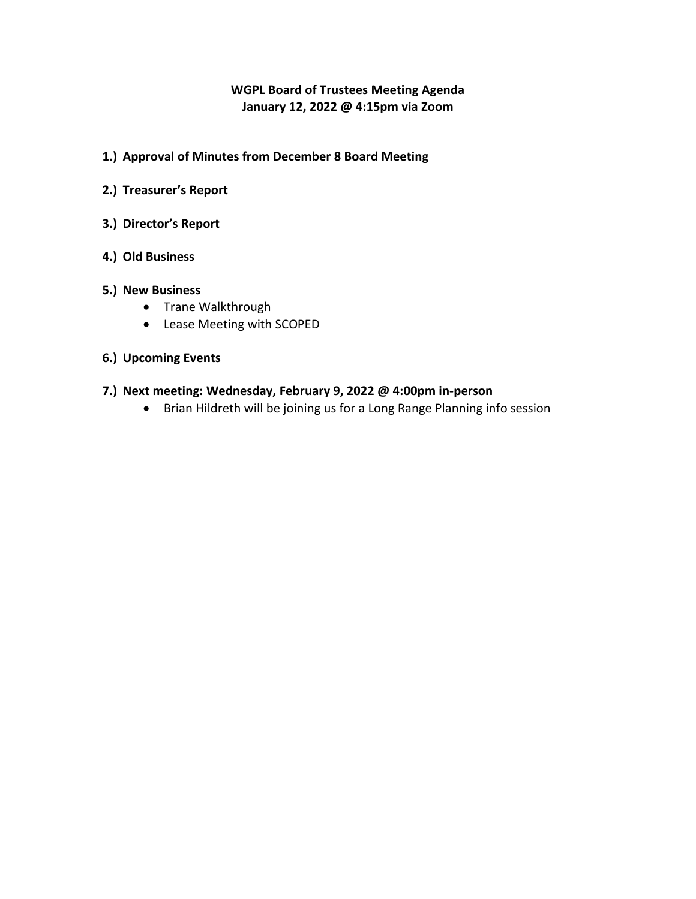# **WGPL Board of Trustees Meeting Agenda January 12, 2022 @ 4:15pm via Zoom**

- **1.) Approval of Minutes from December 8 Board Meeting**
- **2.) Treasurer's Report**
- **3.) Director's Report**
- **4.) Old Business**

### **5.) New Business**

- Trane Walkthrough
- Lease Meeting with SCOPED

### **6.) Upcoming Events**

## **7.) Next meeting: Wednesday, February 9, 2022 @ 4:00pm in-person**

Brian Hildreth will be joining us for a Long Range Planning info session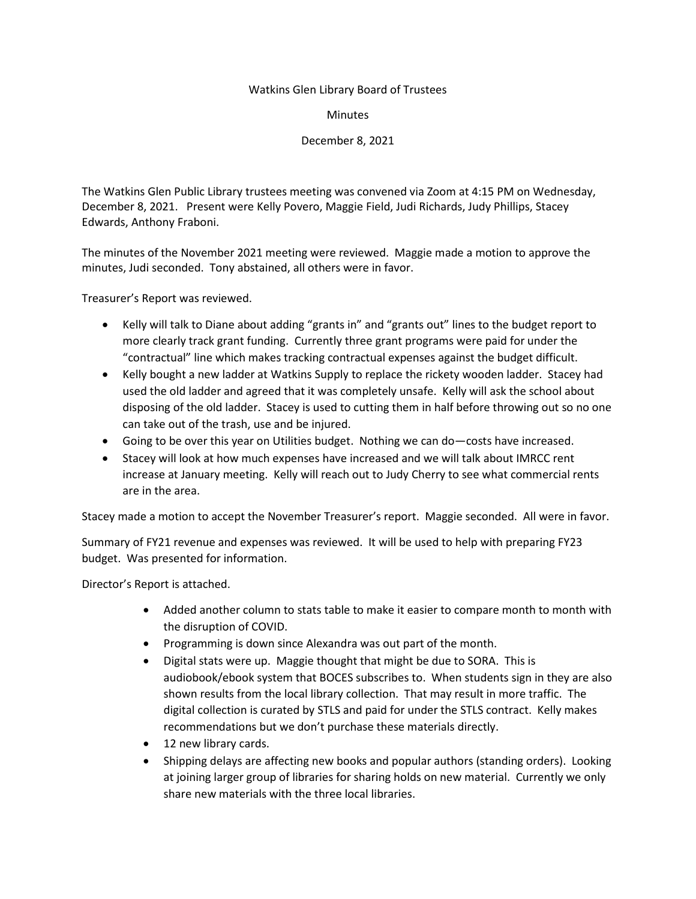#### Watkins Glen Library Board of Trustees

Minutes

December 8, 2021

The Watkins Glen Public Library trustees meeting was convened via Zoom at 4:15 PM on Wednesday, December 8, 2021. Present were Kelly Povero, Maggie Field, Judi Richards, Judy Phillips, Stacey Edwards, Anthony Fraboni.

The minutes of the November 2021 meeting were reviewed. Maggie made a motion to approve the minutes, Judi seconded. Tony abstained, all others were in favor.

Treasurer's Report was reviewed.

- Kelly will talk to Diane about adding "grants in" and "grants out" lines to the budget report to more clearly track grant funding. Currently three grant programs were paid for under the "contractual" line which makes tracking contractual expenses against the budget difficult.
- Kelly bought a new ladder at Watkins Supply to replace the rickety wooden ladder. Stacey had used the old ladder and agreed that it was completely unsafe. Kelly will ask the school about disposing of the old ladder. Stacey is used to cutting them in half before throwing out so no one can take out of the trash, use and be injured.
- Going to be over this year on Utilities budget. Nothing we can do—costs have increased.
- Stacey will look at how much expenses have increased and we will talk about IMRCC rent increase at January meeting. Kelly will reach out to Judy Cherry to see what commercial rents are in the area.

Stacey made a motion to accept the November Treasurer's report. Maggie seconded. All were in favor.

Summary of FY21 revenue and expenses was reviewed. It will be used to help with preparing FY23 budget. Was presented for information.

Director's Report is attached.

- Added another column to stats table to make it easier to compare month to month with the disruption of COVID.
- Programming is down since Alexandra was out part of the month.
- Digital stats were up. Maggie thought that might be due to SORA. This is audiobook/ebook system that BOCES subscribes to. When students sign in they are also shown results from the local library collection. That may result in more traffic. The digital collection is curated by STLS and paid for under the STLS contract. Kelly makes recommendations but we don't purchase these materials directly.
- 12 new library cards.
- Shipping delays are affecting new books and popular authors (standing orders). Looking at joining larger group of libraries for sharing holds on new material. Currently we only share new materials with the three local libraries.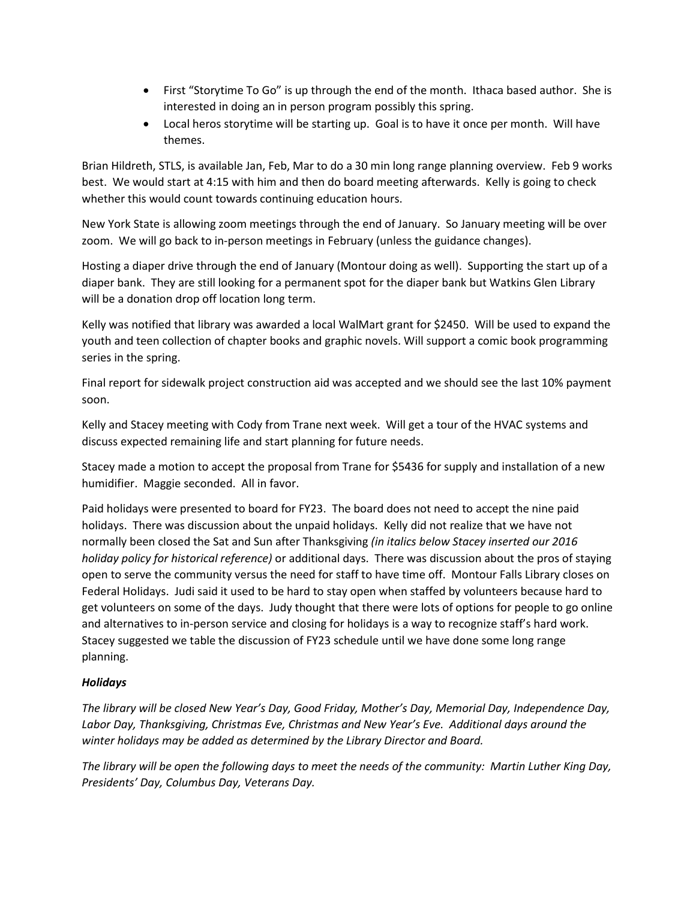- First "Storytime To Go" is up through the end of the month. Ithaca based author. She is interested in doing an in person program possibly this spring.
- Local heros storytime will be starting up. Goal is to have it once per month. Will have themes.

Brian Hildreth, STLS, is available Jan, Feb, Mar to do a 30 min long range planning overview. Feb 9 works best. We would start at 4:15 with him and then do board meeting afterwards. Kelly is going to check whether this would count towards continuing education hours.

New York State is allowing zoom meetings through the end of January. So January meeting will be over zoom. We will go back to in-person meetings in February (unless the guidance changes).

Hosting a diaper drive through the end of January (Montour doing as well). Supporting the start up of a diaper bank. They are still looking for a permanent spot for the diaper bank but Watkins Glen Library will be a donation drop off location long term.

Kelly was notified that library was awarded a local WalMart grant for \$2450. Will be used to expand the youth and teen collection of chapter books and graphic novels. Will support a comic book programming series in the spring.

Final report for sidewalk project construction aid was accepted and we should see the last 10% payment soon.

Kelly and Stacey meeting with Cody from Trane next week. Will get a tour of the HVAC systems and discuss expected remaining life and start planning for future needs.

Stacey made a motion to accept the proposal from Trane for \$5436 for supply and installation of a new humidifier. Maggie seconded. All in favor.

Paid holidays were presented to board for FY23. The board does not need to accept the nine paid holidays. There was discussion about the unpaid holidays. Kelly did not realize that we have not normally been closed the Sat and Sun after Thanksgiving *(in italics below Stacey inserted our 2016 holiday policy for historical reference)* or additional days. There was discussion about the pros of staying open to serve the community versus the need for staff to have time off. Montour Falls Library closes on Federal Holidays. Judi said it used to be hard to stay open when staffed by volunteers because hard to get volunteers on some of the days. Judy thought that there were lots of options for people to go online and alternatives to in-person service and closing for holidays is a way to recognize staff's hard work. Stacey suggested we table the discussion of FY23 schedule until we have done some long range planning.

### *Holidays*

*The library will be closed New Year's Day, Good Friday, Mother's Day, Memorial Day, Independence Day, Labor Day, Thanksgiving, Christmas Eve, Christmas and New Year's Eve. Additional days around the winter holidays may be added as determined by the Library Director and Board.* 

*The library will be open the following days to meet the needs of the community: Martin Luther King Day, Presidents' Day, Columbus Day, Veterans Day.*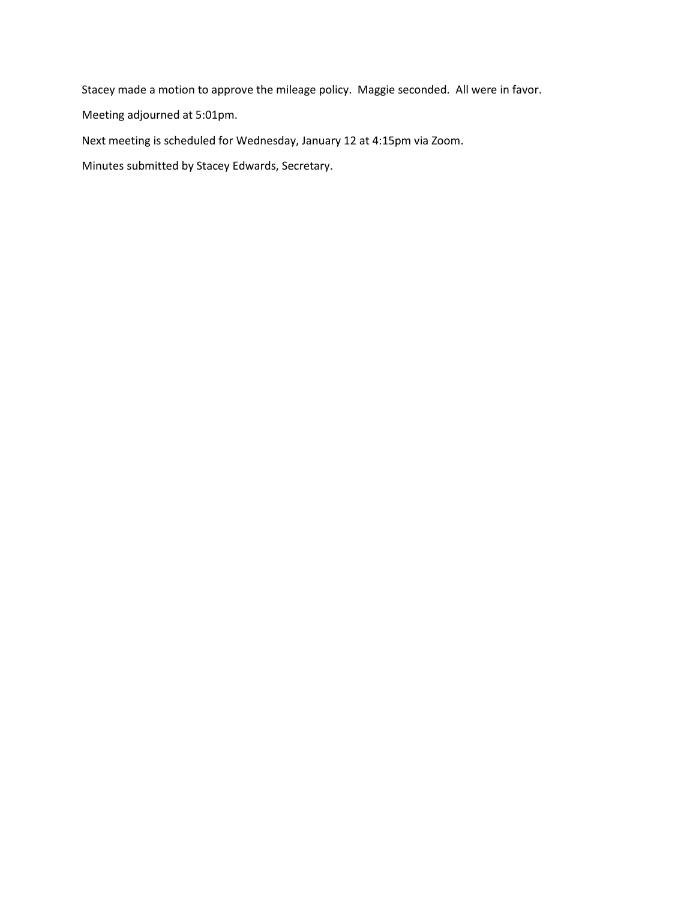Stacey made a motion to approve the mileage policy. Maggie seconded. All were in favor.

Meeting adjourned at 5:01pm.

Next meeting is scheduled for Wednesday, January 12 at 4:15pm via Zoom.

Minutes submitted by Stacey Edwards, Secretary.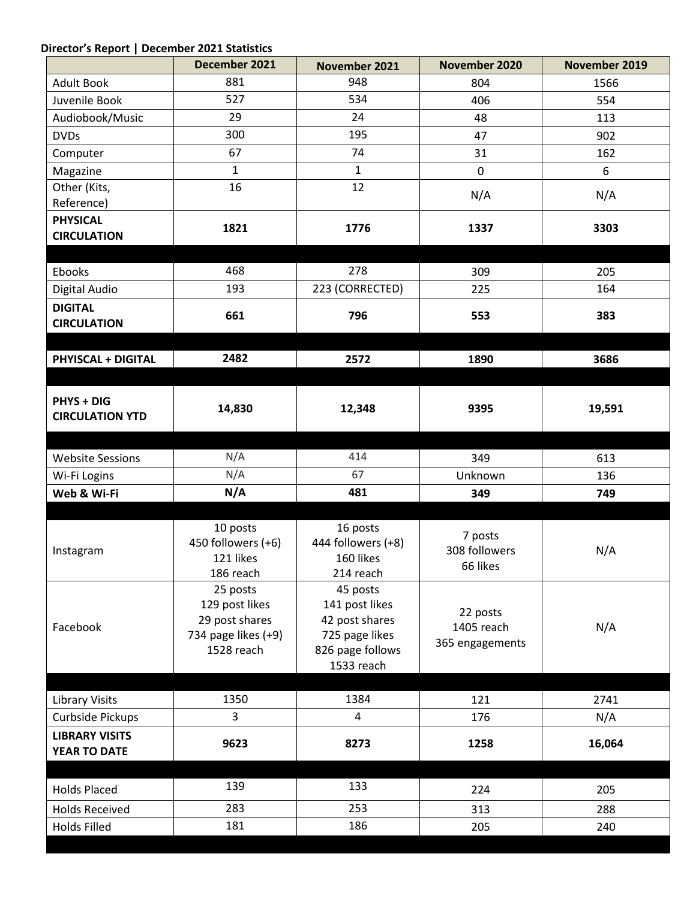# **Director's Report | December 2021 Statistics**

|                                             | December 2021                  | November 2021                  | November 2020                             | November 2019 |
|---------------------------------------------|--------------------------------|--------------------------------|-------------------------------------------|---------------|
| <b>Adult Book</b>                           | 881                            | 948                            | 804                                       | 1566          |
| Juvenile Book                               | 527                            | 534                            | 406                                       | 554           |
| Audiobook/Music                             | 29                             | 24                             | 48                                        | 113           |
| <b>DVDs</b>                                 | 300                            | 195                            | 47                                        | 902           |
| Computer                                    | 67                             | 74                             | 31                                        | 162           |
| Magazine                                    | $\mathbf{1}$                   | $\mathbf{1}$                   | 0                                         | 6             |
| Other (Kits,                                | 16                             | 12                             | N/A                                       | N/A           |
| Reference)                                  |                                |                                |                                           |               |
| <b>PHYSICAL</b>                             | 1821                           | 1776                           | 1337                                      | 3303          |
| <b>CIRCULATION</b>                          |                                |                                |                                           |               |
| Ebooks                                      | 468                            | 278                            | 309                                       | 205           |
| Digital Audio                               | 193                            | 223 (CORRECTED)                | 225                                       | 164           |
| <b>DIGITAL</b>                              |                                |                                |                                           |               |
| <b>CIRCULATION</b>                          | 661                            | 796                            | 553                                       | 383           |
|                                             |                                |                                |                                           |               |
| <b>PHYISCAL + DIGITAL</b>                   | 2482                           | 2572                           | 1890                                      | 3686          |
|                                             |                                |                                |                                           |               |
|                                             |                                |                                |                                           |               |
| <b>PHYS + DIG</b><br><b>CIRCULATION YTD</b> | 14,830                         | 12,348                         | 9395                                      | 19,591        |
|                                             |                                |                                |                                           |               |
|                                             |                                |                                |                                           |               |
| <b>Website Sessions</b>                     | N/A                            | 414                            | 349                                       | 613           |
| Wi-Fi Logins                                | N/A                            | 67                             | Unknown                                   | 136           |
| Web & Wi-Fi                                 | N/A                            | 481                            | 349                                       | 749           |
|                                             |                                |                                |                                           |               |
|                                             | 10 posts<br>450 followers (+6) | 16 posts<br>444 followers (+8) | 7 posts<br>308 followers<br>66 likes      | N/A           |
| Instagram                                   | 121 likes                      | 160 likes                      |                                           |               |
|                                             | 186 reach                      | 214 reach                      |                                           |               |
|                                             | 25 posts                       | 45 posts                       | 22 posts<br>1405 reach<br>365 engagements | N/A           |
| Facebook                                    | 129 post likes                 | 141 post likes                 |                                           |               |
|                                             | 29 post shares                 | 42 post shares                 |                                           |               |
|                                             | 734 page likes (+9)            | 725 page likes                 |                                           |               |
|                                             | 1528 reach                     | 826 page follows<br>1533 reach |                                           |               |
|                                             |                                |                                |                                           |               |
| <b>Library Visits</b>                       | 1350                           | 1384                           | 121                                       | 2741          |
| Curbside Pickups                            | 3                              | 4                              | 176                                       | N/A           |
| <b>LIBRARY VISITS</b>                       |                                |                                |                                           |               |
| YEAR TO DATE                                | 9623                           | 8273                           | 1258                                      | 16,064        |
|                                             |                                |                                |                                           |               |
| <b>Holds Placed</b>                         | 139                            | 133                            | 224                                       | 205           |
| <b>Holds Received</b>                       | 283                            | 253                            | 313                                       | 288           |
| <b>Holds Filled</b>                         | 181                            | 186                            | 205                                       | 240           |
|                                             |                                |                                |                                           |               |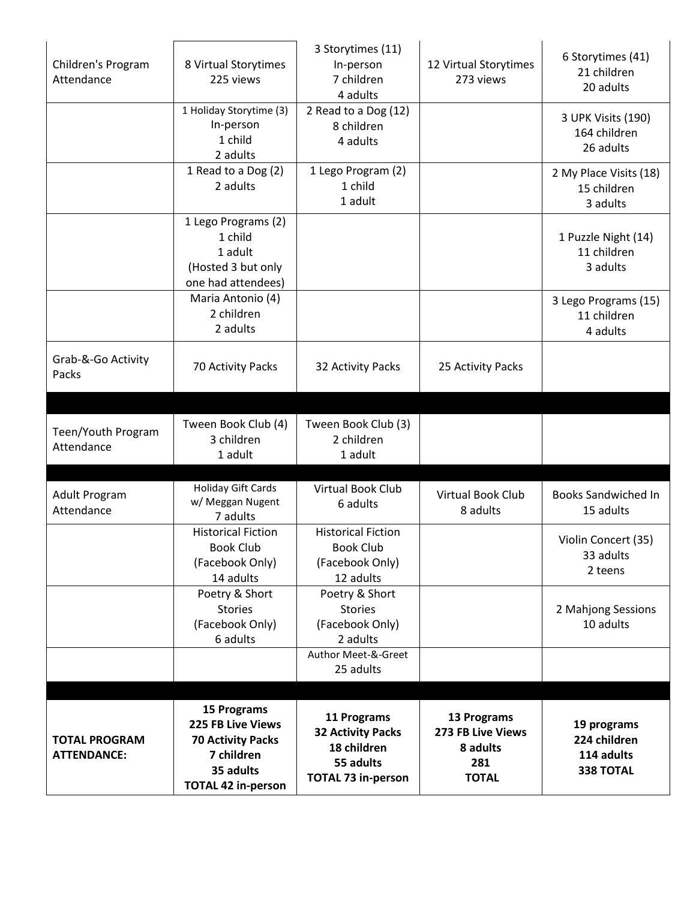|                      |                           | 3 Storytimes (11)                       |                                  | 6 Storytimes (41)          |
|----------------------|---------------------------|-----------------------------------------|----------------------------------|----------------------------|
| Children's Program   | 8 Virtual Storytimes      | In-person                               | 12 Virtual Storytimes            | 21 children                |
| Attendance           | 225 views                 | 7 children                              | 273 views                        | 20 adults                  |
|                      |                           | 4 adults                                |                                  |                            |
|                      | 1 Holiday Storytime (3)   | 2 Read to a Dog (12)                    |                                  | 3 UPK Visits (190)         |
|                      | In-person                 | 8 children                              |                                  | 164 children               |
|                      | 1 child                   | 4 adults                                |                                  | 26 adults                  |
|                      | 2 adults                  |                                         |                                  |                            |
|                      | 1 Read to a Dog (2)       | 1 Lego Program (2)                      |                                  | 2 My Place Visits (18)     |
|                      | 2 adults                  | 1 child                                 |                                  | 15 children                |
|                      |                           | 1 adult                                 |                                  | 3 adults                   |
|                      | 1 Lego Programs (2)       |                                         |                                  |                            |
|                      | 1 child                   |                                         |                                  | 1 Puzzle Night (14)        |
|                      | 1 adult                   |                                         |                                  | 11 children                |
|                      | (Hosted 3 but only        |                                         |                                  | 3 adults                   |
|                      | one had attendees)        |                                         |                                  |                            |
|                      | Maria Antonio (4)         |                                         |                                  | 3 Lego Programs (15)       |
|                      | 2 children                |                                         |                                  | 11 children                |
|                      | 2 adults                  |                                         |                                  | 4 adults                   |
|                      |                           |                                         |                                  |                            |
| Grab-&-Go Activity   | 70 Activity Packs         | 32 Activity Packs                       | 25 Activity Packs                |                            |
| Packs                |                           |                                         |                                  |                            |
|                      |                           |                                         |                                  |                            |
|                      |                           |                                         |                                  |                            |
| Teen/Youth Program   | Tween Book Club (4)       | Tween Book Club (3)                     |                                  |                            |
| Attendance           | 3 children                | 2 children                              |                                  |                            |
|                      | 1 adult                   | 1 adult                                 |                                  |                            |
|                      |                           |                                         |                                  |                            |
| <b>Adult Program</b> | <b>Holiday Gift Cards</b> | <b>Virtual Book Club</b>                | Virtual Book Club                | <b>Books Sandwiched In</b> |
| Attendance           | w/ Meggan Nugent          | 6 adults                                | 8 adults                         | 15 adults                  |
|                      | 7 adults                  |                                         |                                  |                            |
|                      | <b>Historical Fiction</b> | <b>Historical Fiction</b>               |                                  | Violin Concert (35)        |
|                      | <b>Book Club</b>          | <b>Book Club</b>                        |                                  | 33 adults                  |
|                      | (Facebook Only)           | (Facebook Only)                         |                                  | 2 teens                    |
|                      | 14 adults                 | 12 adults                               |                                  |                            |
|                      | Poetry & Short            | Poetry & Short                          |                                  |                            |
|                      | <b>Stories</b>            | <b>Stories</b>                          |                                  | 2 Mahjong Sessions         |
|                      | (Facebook Only)           | (Facebook Only)                         |                                  | 10 adults                  |
|                      | 6 adults                  | 2 adults                                |                                  |                            |
|                      |                           | Author Meet-&-Greet                     |                                  |                            |
|                      |                           | 25 adults                               |                                  |                            |
|                      |                           |                                         |                                  |                            |
|                      | <b>15 Programs</b>        |                                         |                                  |                            |
|                      | 225 FB Live Views         | 11 Programs                             | 13 Programs<br>273 FB Live Views | 19 programs                |
| <b>TOTAL PROGRAM</b> | <b>70 Activity Packs</b>  | <b>32 Activity Packs</b><br>18 children |                                  | 224 children               |
| <b>ATTENDANCE:</b>   | 7 children                |                                         | 8 adults                         | 114 adults                 |
|                      | 35 adults                 | 55 adults                               | 281                              | <b>338 TOTAL</b>           |
|                      | <b>TOTAL 42 in-person</b> | <b>TOTAL 73 in-person</b>               | <b>TOTAL</b>                     |                            |